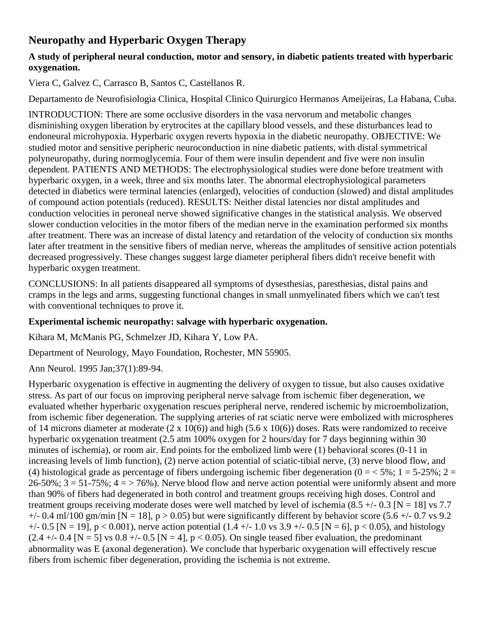# **Neuropathy and Hyperbaric Oxygen Therapy**

## **A study of peripheral neural conduction, motor and sensory, in diabetic patients treated with hyperbaric oxygenation.**

Viera C, Galvez C, Carrasco B, Santos C, Castellanos R.

Departamento de Neurofisiologia Clinica, Hospital Clinico Quirurgico Hermanos Ameijeiras, La Habana, Cuba.

INTRODUCTION: There are some occlusive disorders in the vasa nervorum and metabolic changes disminishing oxygen liberation by erytrocites at the capillary blood vessels, and these disturbances lead to endoneural microhypoxia. Hyperbaric oxygen reverts hypoxia in the diabetic neuropathy. OBJECTIVE: We studied motor and sensitive peripheric neuroconduction in nine diabetic patients, with distal symmetrical polyneuropathy, during normoglycemia. Four of them were insulin dependent and five were non insulin dependent. PATIENTS AND METHODS: The electrophysiological studies were done before treatment with hyperbaric oxygen, in a week, three and six months later. The abnormal electrophysiological parameters detected in diabetics were terminal latencies (enlarged), velocities of conduction (slowed) and distal amplitudes of compound action potentials (reduced). RESULTS: Neither distal latencies nor distal amplitudes and conduction velocities in peroneal nerve showed significative changes in the statistical analysis. We observed slower conduction velocities in the motor fibers of the median nerve in the examination performed six months after treatment. There was an increase of distal latency and retardation of the velocity of conduction six months later after treatment in the sensitive fibers of median nerve, whereas the amplitudes of sensitive action potentials decreased progressively. These changes suggest large diameter peripheral fibers didn't receive benefit with hyperbaric oxygen treatment.

CONCLUSIONS: In all patients disappeared all symptoms of dysesthesias, paresthesias, distal pains and cramps in the legs and arms, suggesting functional changes in small unmyelinated fibers which we can't test with conventional techniques to prove it.

# **Experimental ischemic neuropathy: salvage with hyperbaric oxygenation.**

Kihara M, McManis PG, Schmelzer JD, Kihara Y, Low PA.

Department of Neurology, Mayo Foundation, Rochester, MN 55905.

Ann Neurol. 1995 Jan;37(1):89-94.

Hyperbaric oxygenation is effective in augmenting the delivery of oxygen to tissue, but also causes oxidative stress. As part of our focus on improving peripheral nerve salvage from ischemic fiber degeneration, we evaluated whether hyperbaric oxygenation rescues peripheral nerve, rendered ischemic by microembolization, from ischemic fiber degeneration. The supplying arteries of rat sciatic nerve were embolized with microspheres of 14 microns diameter at moderate  $(2 \times 10(6))$  and high  $(5.6 \times 10(6))$  doses. Rats were randomized to receive hyperbaric oxygenation treatment (2.5 atm 100% oxygen for 2 hours/day for 7 days beginning within 30 minutes of ischemia), or room air. End points for the embolized limb were (1) behavioral scores (0-11 in increasing levels of limb function), (2) nerve action potential of sciatic-tibial nerve, (3) nerve blood flow, and (4) histological grade as percentage of fibers undergoing ischemic fiber degeneration ( $0 = < 5\%$ ;  $1 = 5-25\%$ ;  $2 =$  $26-50\%$ ;  $3 = 51-75\%$ ;  $4 = 76\%$ ). Nerve blood flow and nerve action potential were uniformly absent and more than 90% of fibers had degenerated in both control and treatment groups receiving high doses. Control and treatment groups receiving moderate doses were well matched by level of ischemia  $(8.5 +/- 0.3$  [N = 18] vs 7.7  $+/- 0.4$  ml/100 gm/min [N = 18], p > 0.05) but were significantly different by behavior score (5.6  $+/- 0.7$  vs 9.2  $+/- 0.5$  [N = 19], p < 0.001), nerve action potential (1.4  $+/- 1.0$  vs 3.9  $+/- 0.5$  [N = 6], p < 0.05), and histology  $(2.4 +/- 0.4$  [N = 5] vs 0.8 +/- 0.5 [N = 4], p < 0.05). On single teased fiber evaluation, the predominant abnormality was E (axonal degeneration). We conclude that hyperbaric oxygenation will effectively rescue fibers from ischemic fiber degeneration, providing the ischemia is not extreme.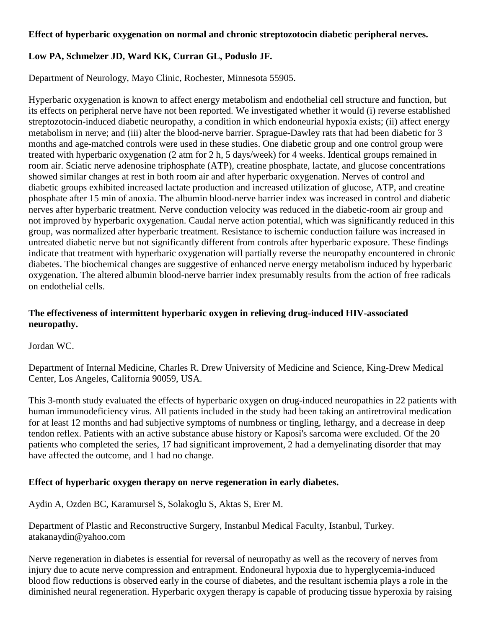#### **Effect of hyperbaric oxygenation on normal and chronic streptozotocin diabetic peripheral nerves.**

### **Low PA, Schmelzer JD, Ward KK, Curran GL, Poduslo JF.**

Department of Neurology, Mayo Clinic, Rochester, Minnesota 55905.

Hyperbaric oxygenation is known to affect energy metabolism and endothelial cell structure and function, but its effects on peripheral nerve have not been reported. We investigated whether it would (i) reverse established streptozotocin-induced diabetic neuropathy, a condition in which endoneurial hypoxia exists; (ii) affect energy metabolism in nerve; and (iii) alter the blood-nerve barrier. Sprague-Dawley rats that had been diabetic for 3 months and age-matched controls were used in these studies. One diabetic group and one control group were treated with hyperbaric oxygenation (2 atm for 2 h, 5 days/week) for 4 weeks. Identical groups remained in room air. Sciatic nerve adenosine triphosphate (ATP), creatine phosphate, lactate, and glucose concentrations showed similar changes at rest in both room air and after hyperbaric oxygenation. Nerves of control and diabetic groups exhibited increased lactate production and increased utilization of glucose, ATP, and creatine phosphate after 15 min of anoxia. The albumin blood-nerve barrier index was increased in control and diabetic nerves after hyperbaric treatment. Nerve conduction velocity was reduced in the diabetic-room air group and not improved by hyperbaric oxygenation. Caudal nerve action potential, which was significantly reduced in this group, was normalized after hyperbaric treatment. Resistance to ischemic conduction failure was increased in untreated diabetic nerve but not significantly different from controls after hyperbaric exposure. These findings indicate that treatment with hyperbaric oxygenation will partially reverse the neuropathy encountered in chronic diabetes. The biochemical changes are suggestive of enhanced nerve energy metabolism induced by hyperbaric oxygenation. The altered albumin blood-nerve barrier index presumably results from the action of free radicals on endothelial cells.

#### **The effectiveness of intermittent hyperbaric oxygen in relieving drug-induced HIV-associated neuropathy.**

Jordan WC.

Department of Internal Medicine, Charles R. Drew University of Medicine and Science, King-Drew Medical Center, Los Angeles, California 90059, USA.

This 3-month study evaluated the effects of hyperbaric oxygen on drug-induced neuropathies in 22 patients with human immunodeficiency virus. All patients included in the study had been taking an antiretroviral medication for at least 12 months and had subjective symptoms of numbness or tingling, lethargy, and a decrease in deep tendon reflex. Patients with an active substance abuse history or Kaposi's sarcoma were excluded. Of the 20 patients who completed the series, 17 had significant improvement, 2 had a demyelinating disorder that may have affected the outcome, and 1 had no change.

#### **Effect of hyperbaric oxygen therapy on nerve regeneration in early diabetes.**

Aydin A, Ozden BC, Karamursel S, Solakoglu S, Aktas S, Erer M.

Department of Plastic and Reconstructive Surgery, Instanbul Medical Faculty, Istanbul, Turkey. atakanaydin@yahoo.com

Nerve regeneration in diabetes is essential for reversal of neuropathy as well as the recovery of nerves from injury due to acute nerve compression and entrapment. Endoneural hypoxia due to hyperglycemia-induced blood flow reductions is observed early in the course of diabetes, and the resultant ischemia plays a role in the diminished neural regeneration. Hyperbaric oxygen therapy is capable of producing tissue hyperoxia by raising